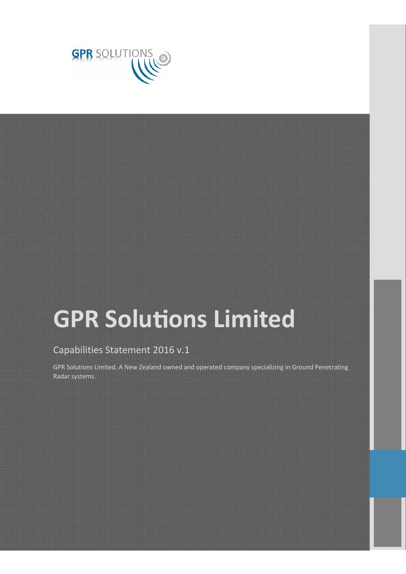

# **GPR Solutions Limited**

#### Capabilities Statement 2016 v.1

GPR Solutions Limited. A New Zealand owned and operated company specializing in Ground Penetrating Radar systems.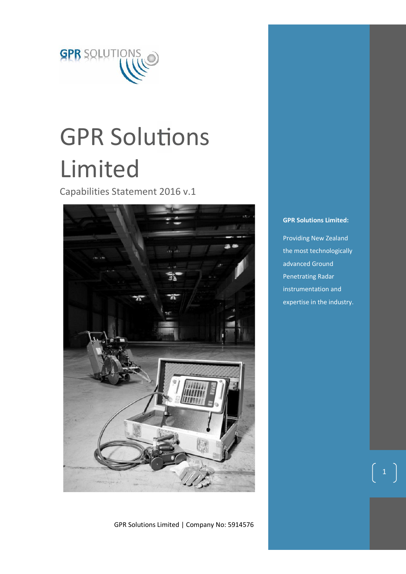

# **GPR Solutions** Limited

Capabilities Statement 2016 v.1



GPR Solutions Limited | Company No: 5914576

#### **GPR Solutions Limited:**

Providing New Zealand the most technologically advanced Ground Penetrating Radar instrumentation and expertise in the industry.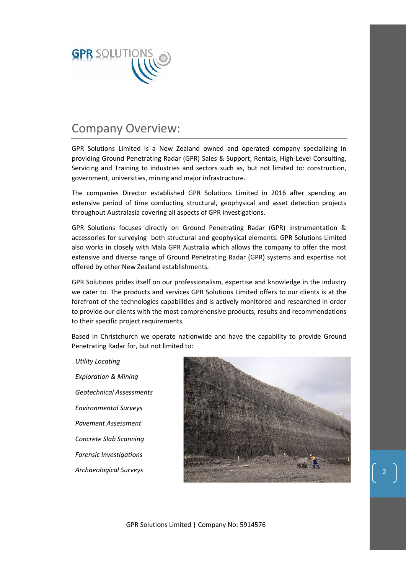

### Company Overview:

GPR Solutions Limited is a New Zealand owned and operated company specializing in providing Ground Penetrating Radar (GPR) Sales & Support, Rentals, High-Level Consulting, Servicing and Training to industries and sectors such as, but not limited to: construction, government, universities, mining and major infrastructure.

The companies Director established GPR Solutions Limited in 2016 after spending an extensive period of time conducting structural, geophysical and asset detection projects throughout Australasia covering all aspects of GPR investigations.

GPR Solutions focuses directly on Ground Penetrating Radar (GPR) instrumentation & accessories for surveying both structural and geophysical elements. GPR Solutions Limited also works in closely with Mala GPR Australia which allows the company to offer the most extensive and diverse range of Ground Penetrating Radar (GPR) systems and expertise not offered by other New Zealand establishments.

GPR Solutions prides itself on our professionalism, expertise and knowledge in the industry we cater to. The products and services GPR Solutions Limited offers to our clients is at the forefront of the technologies capabilities and is actively monitored and researched in order to provide our clients with the most comprehensive products, results and recommendations to their specific project requirements.

Based in Christchurch we operate nationwide and have the capability to provide Ground Penetrating Radar for, but not limited to:

*Utility Locating Exploration & Mining Geotechnical Assessments Environmental Surveys Pavement Assessment Concrete Slab Scanning Forensic Investigations Archaeological Surveys*

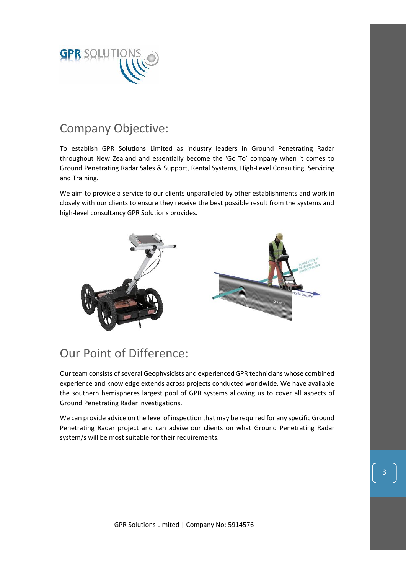

### Company Objective:

To establish GPR Solutions Limited as industry leaders in Ground Penetrating Radar throughout New Zealand and essentially become the 'Go To' company when it comes to Ground Penetrating Radar Sales & Support, Rental Systems, High-Level Consulting, Servicing and Training.

We aim to provide a service to our clients unparalleled by other establishments and work in closely with our clients to ensure they receive the best possible result from the systems and high-level consultancy GPR Solutions provides.



# Our Point of Difference:

Our team consists of several Geophysicists and experienced GPR technicians whose combined experience and knowledge extends across projects conducted worldwide. We have available the southern hemispheres largest pool of GPR systems allowing us to cover all aspects of Ground Penetrating Radar investigations.

We can provide advice on the level of inspection that may be required for any specific Ground Penetrating Radar project and can advise our clients on what Ground Penetrating Radar system/s will be most suitable for their requirements.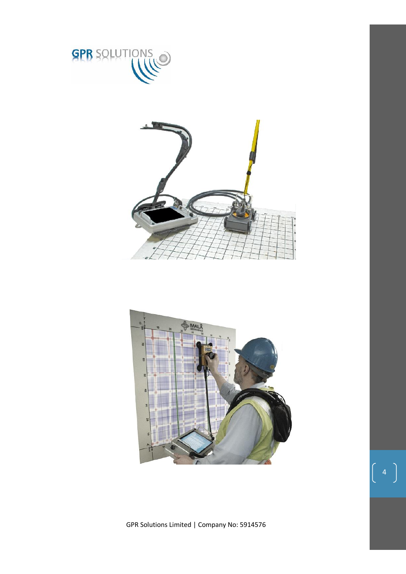



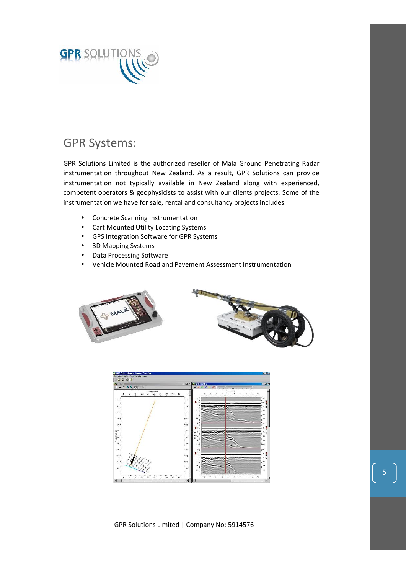

## GPR Systems:

GPR Solutions Limited is the authorized reseller of Mala Ground Penetrating Radar instrumentation throughout New Zealand. As a result, GPR Solutions can provide instrumentation not typically available in New Zealand along with experienced, competent operators & geophysicists to assist with our clients projects. Some of the instrumentation we have for sale, rental and consultancy projects includes.

- Concrete Scanning Instrumentation
- Cart Mounted Utility Locating Systems
- GPS Integration Software for GPR Systems
- 3D Mapping Systems
- Data Processing Software
- Vehicle Mounted Road and Pavement Assessment Instrumentation